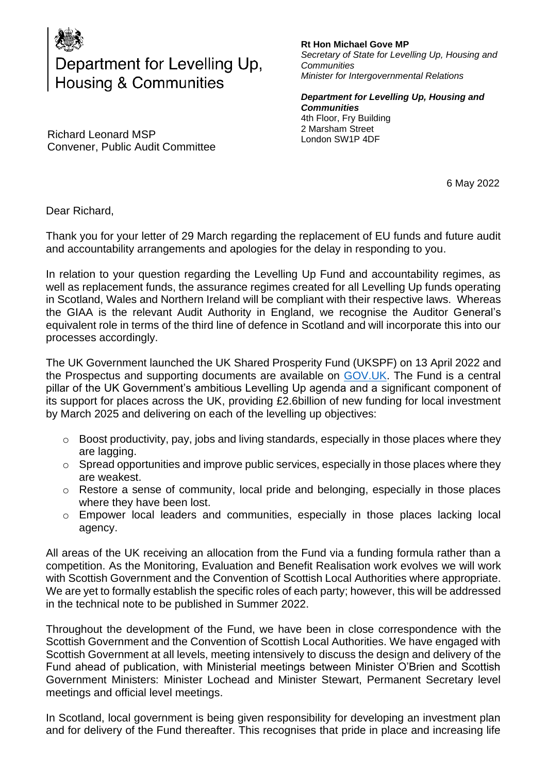

## Department for Levelling Up, Housing & Communities

Richard Leonard MSP Convener, Public Audit Committee

## **Rt Hon Michael Gove MP**

*Secretary of State for Levelling Up, Housing and Communities Minister for Intergovernmental Relations* 

*Department for Levelling Up, Housing and Communities*  4th Floor, Fry Building 2 Marsham Street London SW1P 4DF

6 May 2022

Dear Richard,

Thank you for your letter of 29 March regarding the replacement of EU funds and future audit and accountability arrangements and apologies for the delay in responding to you.

In relation to your question regarding the Levelling Up Fund and accountability regimes, as well as replacement funds, the assurance regimes created for all Levelling Up funds operating in Scotland, Wales and Northern Ireland will be compliant with their respective laws. Whereas the GIAA is the relevant Audit Authority in England, we recognise the Auditor General's equivalent role in terms of the third line of defence in Scotland and will incorporate this into our processes accordingly.

The UK Government launched the UK Shared Prosperity Fund (UKSPF) on 13 April 2022 and the Prospectus and supporting documents are available on [GOV.UK.](https://www.gov.uk/government/publications/uk-shared-prosperity-fund-prospectus/uk-shared-prosperity-fund-prospectus) The Fund is a central pillar of the UK Government's ambitious Levelling Up agenda and a significant component of its support for places across the UK, providing £2.6billion of new funding for local investment by March 2025 and delivering on each of the levelling up objectives:

- o Boost productivity, pay, jobs and living standards, especially in those places where they are lagging.
- o Spread opportunities and improve public services, especially in those places where they are weakest.
- o Restore a sense of community, local pride and belonging, especially in those places where they have been lost.
- o Empower local leaders and communities, especially in those places lacking local agency.

All areas of the UK receiving an allocation from the Fund via a funding formula rather than a competition. As the Monitoring, Evaluation and Benefit Realisation work evolves we will work with Scottish Government and the Convention of Scottish Local Authorities where appropriate. We are yet to formally establish the specific roles of each party; however, this will be addressed in the technical note to be published in Summer 2022.

Throughout the development of the Fund, we have been in close correspondence with the Scottish Government and the Convention of Scottish Local Authorities. We have engaged with Scottish Government at all levels, meeting intensively to discuss the design and delivery of the Fund ahead of publication, with Ministerial meetings between Minister O'Brien and Scottish Government Ministers: Minister Lochead and Minister Stewart, Permanent Secretary level meetings and official level meetings.

In Scotland, local government is being given responsibility for developing an investment plan and for delivery of the Fund thereafter. This recognises that pride in place and increasing life